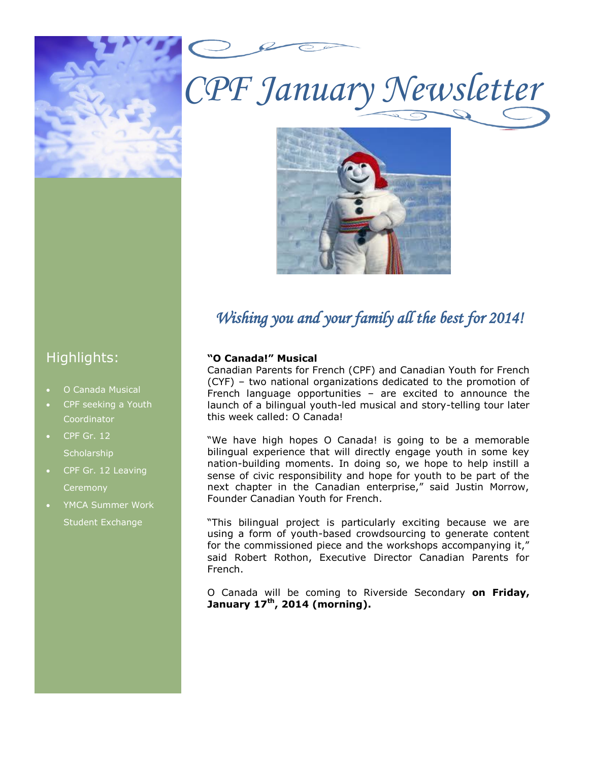

*CPF January Newsletter*



## *Wishing you and your family all the best for 2014!*

## Highlights:

- O Canada Musical
- CPF seeking a Youth **Coordinator**
- CPF Gr. 12 **Scholarship**
- CPF Gr. 12 Leaving **Ceremony**
- YMCA Summer Work Student Exchange

### **"O Canada!" Musical**

Canadian Parents for French (CPF) and Canadian Youth for French (CYF) – two national organizations dedicated to the promotion of French language opportunities – are excited to announce the launch of a bilingual youth-led musical and story-telling tour later this week called: O Canada!

bilingual experience that will directly engage youth in some key "We have high hopes O Canada! is going to be a memorable nation-building moments. In doing so, we hope to help instill a sense of civic responsibility and hope for youth to be part of the next chapter in the Canadian enterprise," said Justin Morrow, Founder Canadian Youth for French.

"This bilingual project is particularly exciting because we are using a form of youth-based crowdsourcing to generate content for the commissioned piece and the workshops accompanying it," said Robert Rothon, Executive Director Canadian Parents for French.

O Canada will be coming to Riverside Secondary **on Friday, January 17th, 2014 (morning).**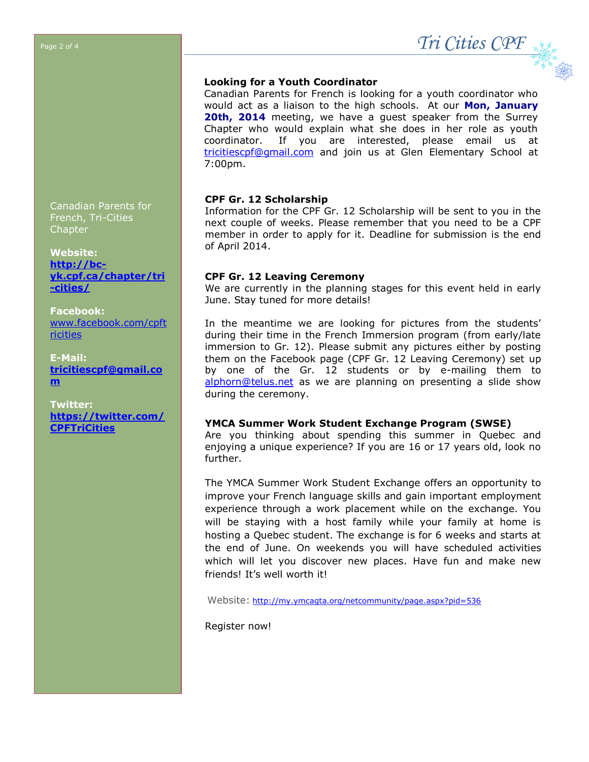$\sigma$ <sup>Page 2 of 4</sub> *Tri Cities CPF*</sup>

Canadian Parents for French, Tri-Cities Chapter

**Website: [http://bc](http://bc-yk.cpf.ca/chapter/tri-cities/)[yk.cpf.ca/chapter/tri](http://bc-yk.cpf.ca/chapter/tri-cities/) [-cities/](http://bc-yk.cpf.ca/chapter/tri-cities/)**

**Facebook:** [www.facebook.com/cpft](http://www.facebook.com/cpftricities) [ricities](http://www.facebook.com/cpftricities)

**E-Mail: [tricitiescpf@gmail.co](mailto:tricitiescpf@gmail.com) [m](mailto:tricitiescpf@gmail.com)**

**Twitter: [https://twitter.com/](https://twitter.com/CPFTriCities) [CPFTriCities](https://twitter.com/CPFTriCities)** 

## **Looking for a Youth Coordinator**

Canadian Parents for French is looking for a youth coordinator who would act as a liaison to the high schools. At our **Mon, January 20th, 2014** meeting, we have a guest speaker from the Surrey Chapter who would explain what she does in her role as youth coordinator. If you are interested, please email us at [tricitiescpf@gmail.com](mailto:tricitiescpf@gmail.com) and join us at Glen Elementary School at 7:00pm.

#### **CPF Gr. 12 Scholarship**

Information for the CPF Gr. 12 Scholarship will be sent to you in the next couple of weeks. Please remember that you need to be a CPF member in order to apply for it. Deadline for submission is the end of April 2014.

#### **CPF Gr. 12 Leaving Ceremony**

We are currently in the planning stages for this event held in early June. Stay tuned for more details!

In the meantime we are looking for pictures from the students' during their time in the French Immersion program (from early/late immersion to Gr. 12). Please submit any pictures either by posting them on the Facebook page (CPF Gr. 12 Leaving Ceremony) set up by one of the Gr. 12 students or by e-mailing them to [alphorn@telus.net](mailto:alphorn@telus.net) as we are planning on presenting a slide show during the ceremony.

#### **YMCA Summer Work Student Exchange Program (SWSE)**

Are you thinking about spending this summer in Quebec and enjoying a unique experience? If you are 16 or 17 years old, look no further.

The YMCA Summer Work Student Exchange offers an opportunity to improve your French language skills and gain important employment experience through a work placement while on the exchange. You will be staying with a host family while your family at home is hosting a Quebec student. The exchange is for 6 weeks and starts at the end of June. On weekends you will have scheduled activities which will let you discover new places. Have fun and make new friends! It's well worth it!

Website: <http://my.ymcagta.org/netcommunity/page.aspx?pid=536>

Register now!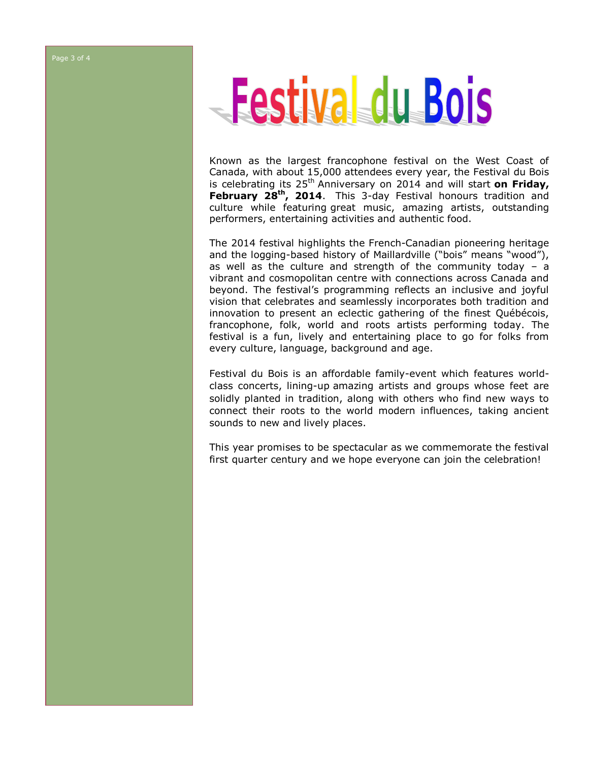#### Page 3 of 4

# Festival du Bois

Known as the largest francophone festival on the West Coast of Canada, with about 15,000 attendees every year, the Festival du Bois is celebrating its 25<sup>th</sup> Anniversary on 2014 and will start **on Friday, February 28th, 2014**. This 3-day Festival honours tradition and culture while featuring great music, amazing artists, outstanding performers, entertaining activities and authentic food.

The 2014 festival highlights the French-Canadian pioneering heritage and the logging-based history of Maillardville ("bois" means "wood"), as well as the culture and strength of the community today – a vibrant and cosmopolitan centre with connections across Canada and beyond. The festival's programming reflects an inclusive and joyful vision that celebrates and seamlessly incorporates both tradition and innovation to present an eclectic gathering of the finest Québécois, francophone, folk, world and roots artists performing today. The festival is a fun, lively and entertaining place to go for folks from every culture, language, background and age.

Festival du Bois is an affordable family-event which features worldclass concerts, lining-up amazing artists and groups whose feet are solidly planted in tradition, along with others who find new ways to connect their roots to the world modern influences, taking ancient sounds to new and lively places.

This year promises to be spectacular as we commemorate the festival first quarter century and we hope everyone can join the celebration!